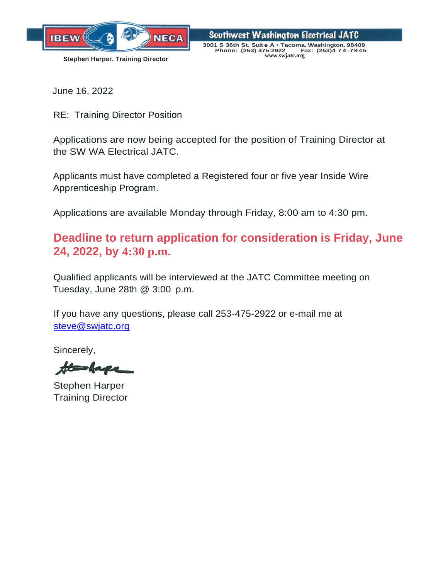

Southwest Washington Electrical JATC **3001 S 36th St. Suit e A** • **Tacoma. Washington. 98409 Stephen Harper. Training Director CONSISTED Phone:** (253) 475-2922 Fax: (253) 474-7945  $Phone: (253) 475-2922$ 

June 16, 2022

RE: Training Director Position

Applications are now being accepted for the position of Training Director at the SW WA Electrical JATC.

Applicants must have completed a Registered four or five year Inside Wire Apprenticeship Program.

Applications are available Monday through Friday, 8:00 am to 4:30 pm.

# **Deadline to return application for consideration is Friday, June 24, 2022, by 4:30 p.m.**

Qualified applicants will be interviewed at the JATC Committee meeting on Tuesday, June 28th @ 3:00 p.m.

If you have any questions, please call 253-475-2922 or e-mail me at [steve@swjatc.org](mailto:steve@swjatc.org)

Sincerely,

the have

Stephen Harper Training Director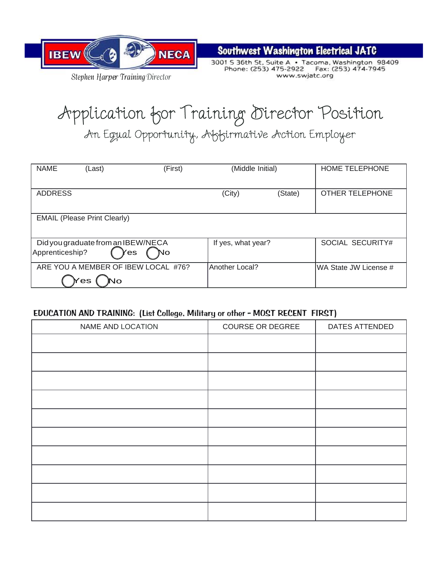

*Stephen Harpes r TrainingDirector*

**Southwest Washington Electrical JATC** 

www.swjatc.org

# Application for Training Director Position

An Egual Opportunity, Abbirmative Action Employer

| <b>NAME</b>     | (Last)                                           | (First) | (Middle Initial)      |         | <b>HOME TELEPHONE</b>  |
|-----------------|--------------------------------------------------|---------|-----------------------|---------|------------------------|
| <b>ADDRESS</b>  |                                                  |         | (City)                | (State) | <b>OTHER TELEPHONE</b> |
|                 | <b>EMAIL (Please Print Clearly)</b>              |         |                       |         |                        |
| Apprenticeship? | Did you graduate from an IBEW/NECA<br>′es        | No      | If yes, what year?    |         | SOCIAL SECURITY#       |
|                 | ARE YOU A MEMBER OF IBEW LOCAL #76?<br>'es<br>No |         | <b>Another Local?</b> |         | WA State JW License #  |

### EDUCATION AND TRAINING: (List College, Military or other - MOST RECENT FIRST)

| NAME AND LOCATION | <b>COURSE OR DEGREE</b> | DATES ATTENDED |
|-------------------|-------------------------|----------------|
|                   |                         |                |
|                   |                         |                |
|                   |                         |                |
|                   |                         |                |
|                   |                         |                |
|                   |                         |                |
|                   |                         |                |
|                   |                         |                |
|                   |                         |                |
|                   |                         |                |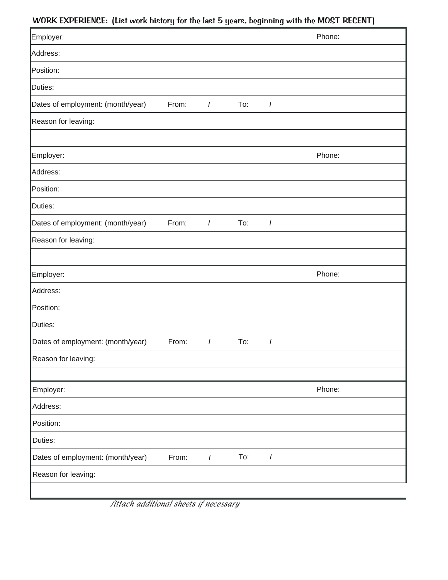## WORK EXPERIENCE: (List work history for the last 5 years, beginning with the MOST RECENT)

| ,                                 | ◡     |                | ◡<br>-9 | ◡              | ,      |
|-----------------------------------|-------|----------------|---------|----------------|--------|
| Employer:                         |       |                |         |                | Phone: |
| Address:                          |       |                |         |                |        |
| Position:                         |       |                |         |                |        |
| Duties:                           |       |                |         |                |        |
| Dates of employment: (month/year) | From: | $\overline{I}$ | To:     | $\overline{I}$ |        |
| Reason for leaving:               |       |                |         |                |        |
|                                   |       |                |         |                |        |
| Employer:                         |       |                |         |                | Phone: |
| Address:                          |       |                |         |                |        |
| Position:                         |       |                |         |                |        |
| Duties:                           |       |                |         |                |        |
| Dates of employment: (month/year) | From: | I              | To:     | $\prime$       |        |
| Reason for leaving:               |       |                |         |                |        |
|                                   |       |                |         |                |        |
| Employer:                         |       |                |         |                | Phone: |
| Address:                          |       |                |         |                |        |
| Position:                         |       |                |         |                |        |
| Duties:                           |       |                |         |                |        |
| Dates of employment: (month/year) | From: | $\prime$       | To:     | I              |        |
| Reason for leaving:               |       |                |         |                |        |
|                                   |       |                |         |                |        |
| Employer:                         |       |                |         |                | Phone: |
| Address:                          |       |                |         |                |        |
| Position:                         |       |                |         |                |        |
| Duties:                           |       |                |         |                |        |
| Dates of employment: (month/year) | From: | $\overline{I}$ | To:     | I              |        |
| Reason for leaving:               |       |                |         |                |        |
|                                   |       |                |         |                |        |

*Attach additional sheets if necessary*